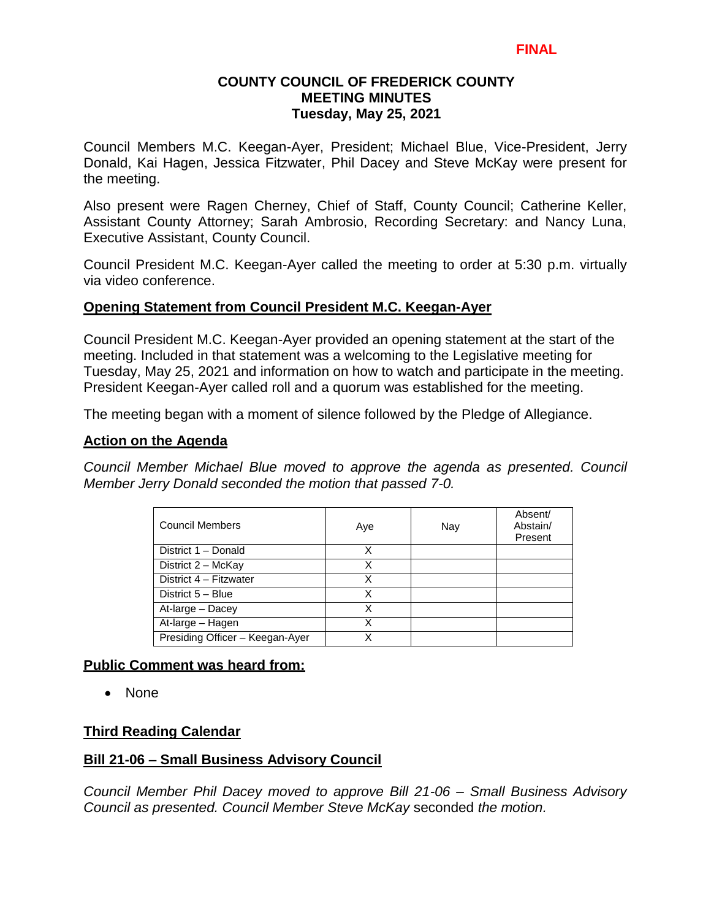### **COUNTY COUNCIL OF FREDERICK COUNTY MEETING MINUTES Tuesday, May 25, 2021**

Council Members M.C. Keegan-Ayer, President; Michael Blue, Vice-President, Jerry Donald, Kai Hagen, Jessica Fitzwater, Phil Dacey and Steve McKay were present for the meeting.

Also present were Ragen Cherney, Chief of Staff, County Council; Catherine Keller, Assistant County Attorney; Sarah Ambrosio, Recording Secretary: and Nancy Luna, Executive Assistant, County Council.

Council President M.C. Keegan-Ayer called the meeting to order at 5:30 p.m. virtually via video conference.

### **Opening Statement from Council President M.C. Keegan-Ayer**

Council President M.C. Keegan-Ayer provided an opening statement at the start of the meeting. Included in that statement was a welcoming to the Legislative meeting for Tuesday, May 25, 2021 and information on how to watch and participate in the meeting. President Keegan-Ayer called roll and a quorum was established for the meeting.

The meeting began with a moment of silence followed by the Pledge of Allegiance.

#### **Action on the Agenda**

*Council Member Michael Blue moved to approve the agenda as presented. Council Member Jerry Donald seconded the motion that passed 7-0.*

| <b>Council Members</b>          | Aye | Nay | Absent/<br>Abstain/<br>Present |
|---------------------------------|-----|-----|--------------------------------|
| District 1 - Donald             | X   |     |                                |
| District 2 - McKay              | X   |     |                                |
| District 4 - Fitzwater          | X   |     |                                |
| District 5 - Blue               | х   |     |                                |
| At-large - Dacey                | X   |     |                                |
| At-large - Hagen                | x   |     |                                |
| Presiding Officer - Keegan-Ayer |     |     |                                |

### **Public Comment was heard from:**

• None

### **Third Reading Calendar**

### **Bill 21-06 – Small Business Advisory Council**

*Council Member Phil Dacey moved to approve Bill 21-06 – Small Business Advisory Council as presented. Council Member Steve McKay* seconded *the motion.*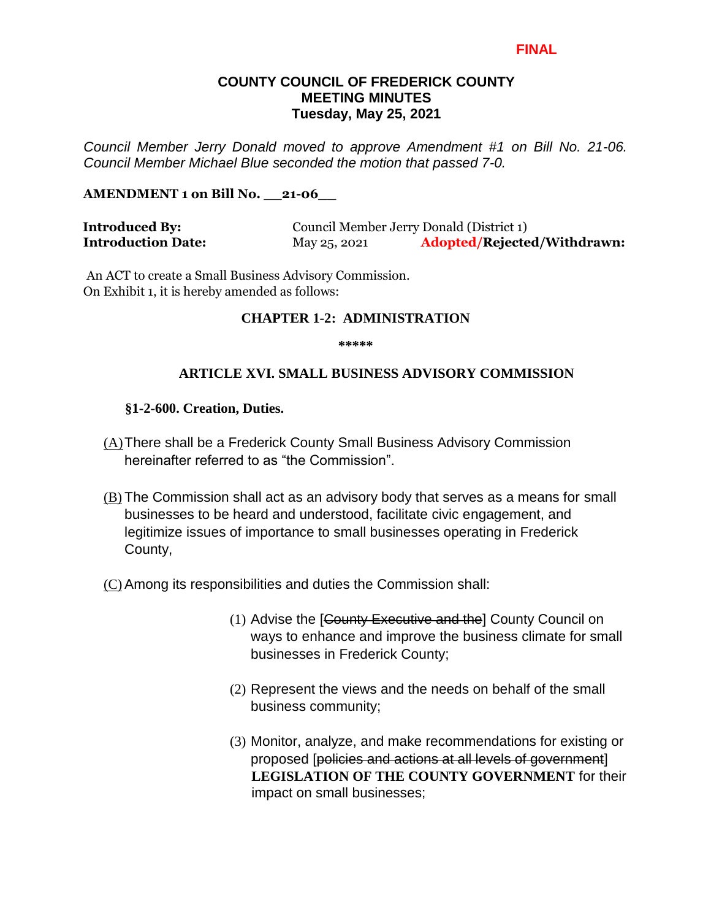#### **COUNTY COUNCIL OF FREDERICK COUNTY MEETING MINUTES Tuesday, May 25, 2021**

*Council Member Jerry Donald moved to approve Amendment #1 on Bill No. 21-06. Council Member Michael Blue seconded the motion that passed 7-0.*

#### **AMENDMENT 1 on Bill No. \_\_21-06\_\_**

| <b>Introduced By:</b>     | Council Member Jerry Donald (District 1) |                             |
|---------------------------|------------------------------------------|-----------------------------|
| <b>Introduction Date:</b> | May 25, 2021                             | Adopted/Rejected/Withdrawn: |

An ACT to create a Small Business Advisory Commission. On Exhibit 1, it is hereby amended as follows:

#### **CHAPTER 1-2: ADMINISTRATION**

**\*\*\*\*\*** 

#### **ARTICLE XVI. SMALL BUSINESS ADVISORY COMMISSION**

#### **§1-2-600. Creation, Duties.**

- (A)There shall be a Frederick County Small Business Advisory Commission hereinafter referred to as "the Commission".
- (B) The Commission shall act as an advisory body that serves as a means for small businesses to be heard and understood, facilitate civic engagement, and legitimize issues of importance to small businesses operating in Frederick County,

(C)Among its responsibilities and duties the Commission shall:

- (1) Advise the [County Executive and the] County Council on ways to enhance and improve the business climate for small businesses in Frederick County;
- (2) Represent the views and the needs on behalf of the small business community;
- (3) Monitor, analyze, and make recommendations for existing or proposed [policies and actions at all levels of government] **LEGISLATION OF THE COUNTY GOVERNMENT** for their impact on small businesses;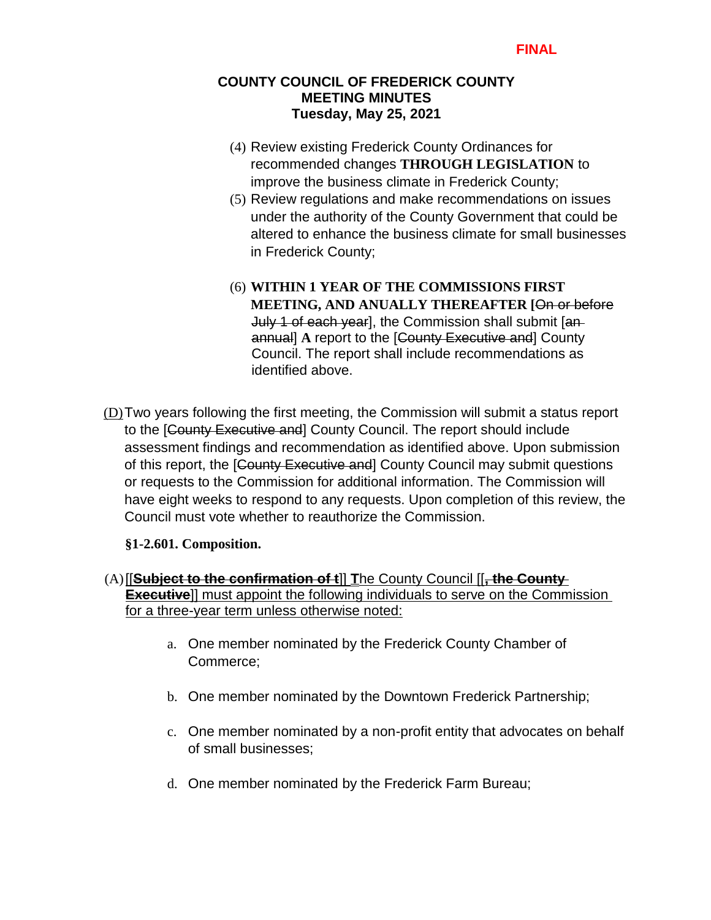### **COUNTY COUNCIL OF FREDERICK COUNTY MEETING MINUTES Tuesday, May 25, 2021**

- (4) Review existing Frederick County Ordinances for recommended changes **THROUGH LEGISLATION** to improve the business climate in Frederick County;
- (5) Review regulations and make recommendations on issues under the authority of the County Government that could be altered to enhance the business climate for small businesses in Frederick County;
- (6) **WITHIN 1 YEAR OF THE COMMISSIONS FIRST MEETING, AND ANUALLY THEREAFTER [**On or before July 1 of each year], the Commission shall submit [anannual] **A** report to the [County Executive and] County Council. The report shall include recommendations as identified above.
- (D)Two years following the first meeting, the Commission will submit a status report to the [County Executive and] County Council. The report should include assessment findings and recommendation as identified above. Upon submission of this report, the [County Executive and] County Council may submit questions or requests to the Commission for additional information. The Commission will have eight weeks to respond to any requests. Upon completion of this review, the Council must vote whether to reauthorize the Commission.

### **§1-2.601. Composition.**

- (A)[[**Subject to the confirmation of t**]] **T**he County Council [[**, the County Executive**]] must appoint the following individuals to serve on the Commission for a three-year term unless otherwise noted:
	- a. One member nominated by the Frederick County Chamber of Commerce;
	- b. One member nominated by the Downtown Frederick Partnership;
	- c. One member nominated by a non-profit entity that advocates on behalf of small businesses;
	- d. One member nominated by the Frederick Farm Bureau;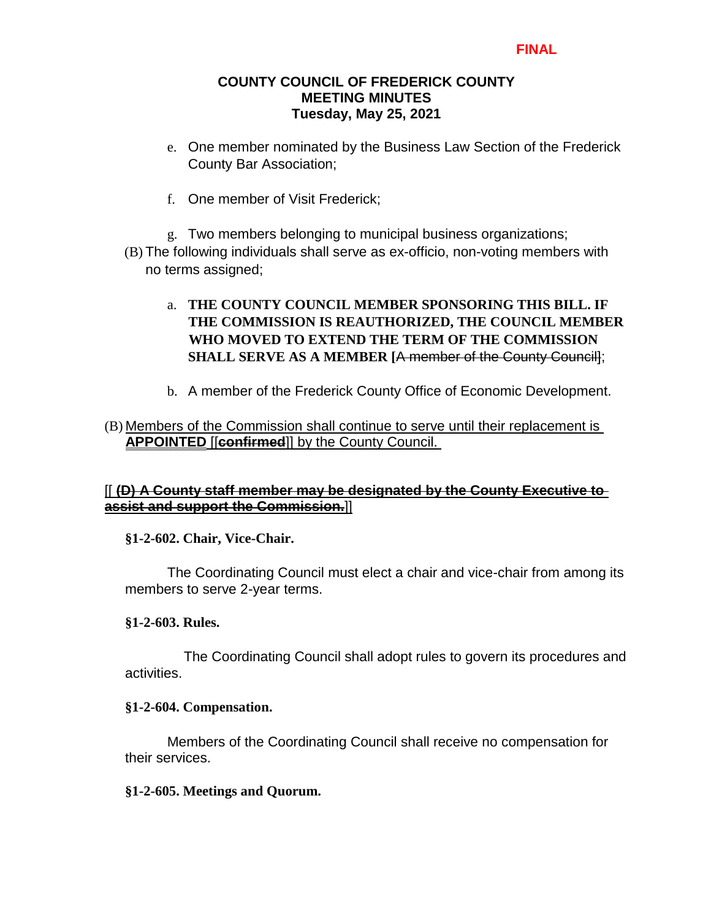### **COUNTY COUNCIL OF FREDERICK COUNTY MEETING MINUTES Tuesday, May 25, 2021**

- e. One member nominated by the Business Law Section of the Frederick County Bar Association;
- f. One member of Visit Frederick;
- g. Two members belonging to municipal business organizations; (B) The following individuals shall serve as ex-officio, non-voting members with
	- no terms assigned;

# a. **THE COUNTY COUNCIL MEMBER SPONSORING THIS BILL. IF THE COMMISSION IS REAUTHORIZED, THE COUNCIL MEMBER WHO MOVED TO EXTEND THE TERM OF THE COMMISSION SHALL SERVE AS A MEMBER [**A member of the County Council];

b. A member of the Frederick County Office of Economic Development.

### (B) Members of the Commission shall continue to serve until their replacement is **APPOINTED** [[**confirmed**]] by the County Council.

# [[ **(D) A County staff member may be designated by the County Executive to assist and support the Commission.**]]

### **§1-2-602. Chair, Vice-Chair.**

 The Coordinating Council must elect a chair and vice-chair from among its members to serve 2-year terms.

### **§1-2-603. Rules.**

 The Coordinating Council shall adopt rules to govern its procedures and activities.

### **§1-2-604. Compensation.**

 Members of the Coordinating Council shall receive no compensation for their services.

### **§1-2-605. Meetings and Quorum.**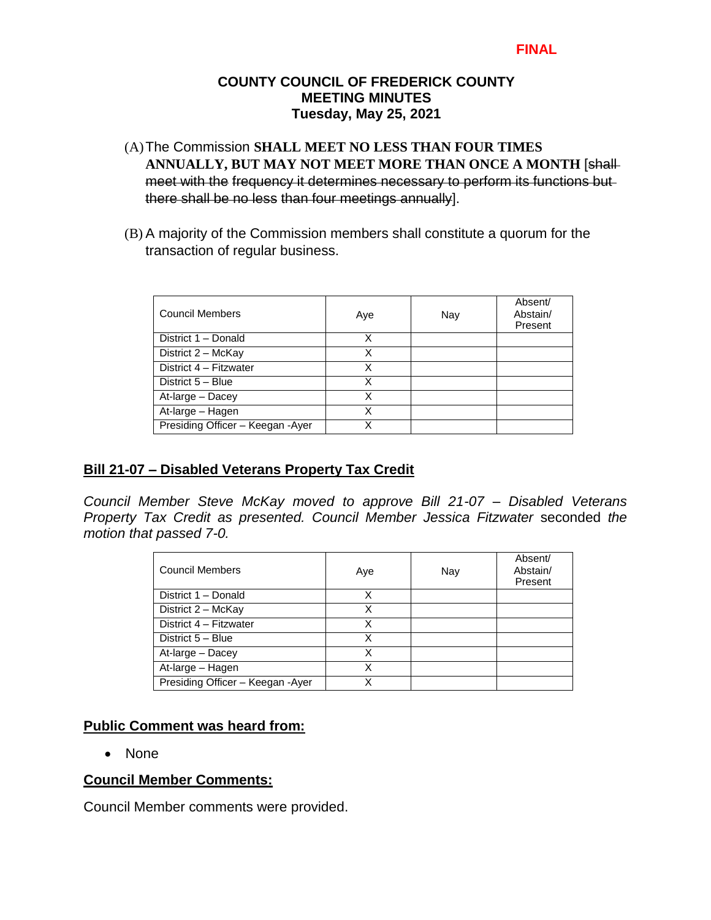#### **COUNTY COUNCIL OF FREDERICK COUNTY MEETING MINUTES Tuesday, May 25, 2021**

- (A)The Commission **SHALL MEET NO LESS THAN FOUR TIMES ANNUALLY, BUT MAY NOT MEET MORE THAN ONCE A MONTH** [shall meet with the frequency it determines necessary to perform its functions but there shall be no less than four meetings annually].
- (B) A majority of the Commission members shall constitute a quorum for the transaction of regular business.

| <b>Council Members</b>           | Aye | Nay | Absent/<br>Abstain/<br>Present |
|----------------------------------|-----|-----|--------------------------------|
| District 1 - Donald              | х   |     |                                |
| District 2 - McKay               | X   |     |                                |
| District 4 - Fitzwater           | x   |     |                                |
| District 5 - Blue                | х   |     |                                |
| At-large - Dacey                 | Χ   |     |                                |
| At-large - Hagen                 | X   |     |                                |
| Presiding Officer - Keegan -Ayer |     |     |                                |

# **Bill 21-07 – Disabled Veterans Property Tax Credit**

*Council Member Steve McKay moved to approve Bill 21-07 – Disabled Veterans Property Tax Credit as presented. Council Member Jessica Fitzwater* seconded *the motion that passed 7-0.*

| <b>Council Members</b>            | Aye | Nay | Absent/<br>Abstain/<br>Present |
|-----------------------------------|-----|-----|--------------------------------|
| District 1 - Donald               | x   |     |                                |
| District 2 - McKay                | x   |     |                                |
| District 4 - Fitzwater            | х   |     |                                |
| District 5 - Blue                 | x   |     |                                |
| At-large - Dacey                  | x   |     |                                |
| At-large - Hagen                  | Χ   |     |                                |
| Presiding Officer - Keegan - Ayer |     |     |                                |

### **Public Comment was heard from:**

• None

### **Council Member Comments:**

Council Member comments were provided.